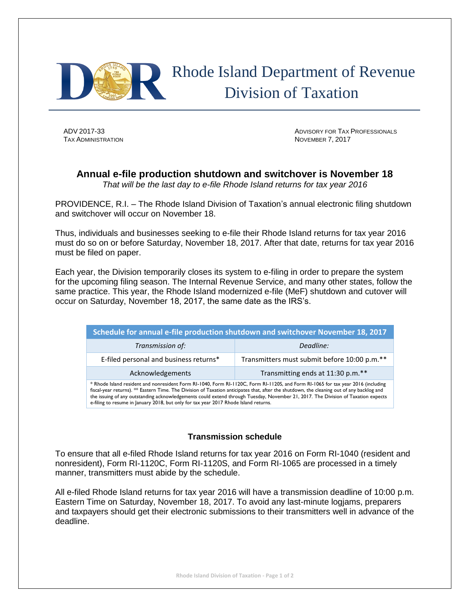

 Rhode Island Department of Revenue Division of Taxation

**TAX ADMINISTRATION NOVEMBER 7, 2017** 

ADV 2017-33 ADVISORY FOR TAX PROFESSIONALS

## **Annual e-file production shutdown and switchover is November 18**

*That will be the last day to e-file Rhode Island returns for tax year 2016*

PROVIDENCE, R.I. – The Rhode Island Division of Taxation's annual electronic filing shutdown and switchover will occur on November 18.

Thus, individuals and businesses seeking to e-file their Rhode Island returns for tax year 2016 must do so on or before Saturday, November 18, 2017. After that date, returns for tax year 2016 must be filed on paper.

Each year, the Division temporarily closes its system to e-filing in order to prepare the system for the upcoming filing season. The Internal Revenue Service, and many other states, follow the same practice. This year, the Rhode Island modernized e-file (MeF) shutdown and cutover will occur on Saturday, November 18, 2017, the same date as the IRS's.

| Schedule for annual e-file production shutdown and switchover November 18, 2017                                                                                                                                                                                                                                                                                                                                                                                                                             |                                              |
|-------------------------------------------------------------------------------------------------------------------------------------------------------------------------------------------------------------------------------------------------------------------------------------------------------------------------------------------------------------------------------------------------------------------------------------------------------------------------------------------------------------|----------------------------------------------|
| Transmission of:                                                                                                                                                                                                                                                                                                                                                                                                                                                                                            | Deadline:                                    |
| E-filed personal and business returns*                                                                                                                                                                                                                                                                                                                                                                                                                                                                      | Transmitters must submit before 10:00 p.m.** |
| Acknowledgements                                                                                                                                                                                                                                                                                                                                                                                                                                                                                            | Transmitting ends at 11:30 p.m.**            |
| * Rhode Island resident and nonresident Form RI-1040, Form RI-1120C, Form RI-1120S, and Form RI-1065 for tax year 2016 (including<br>fiscal-year returns). ** Eastern Time. The Division of Taxation anticipates that, after the shutdown, the cleaning out of any backlog and<br>the issuing of any outstanding acknowledgements could extend through Tuesday, November 21, 2017. The Division of Taxation expects<br>e-filing to resume in January 2018, but only for tax year 2017 Rhode Island returns. |                                              |

## **Transmission schedule**

To ensure that all e-filed Rhode Island returns for tax year 2016 on Form RI-1040 (resident and nonresident), Form RI-1120C, Form RI-1120S, and Form RI-1065 are processed in a timely manner, transmitters must abide by the schedule.

All e-filed Rhode Island returns for tax year 2016 will have a transmission deadline of 10:00 p.m. Eastern Time on Saturday, November 18, 2017. To avoid any last-minute logjams, preparers and taxpayers should get their electronic submissions to their transmitters well in advance of the deadline.